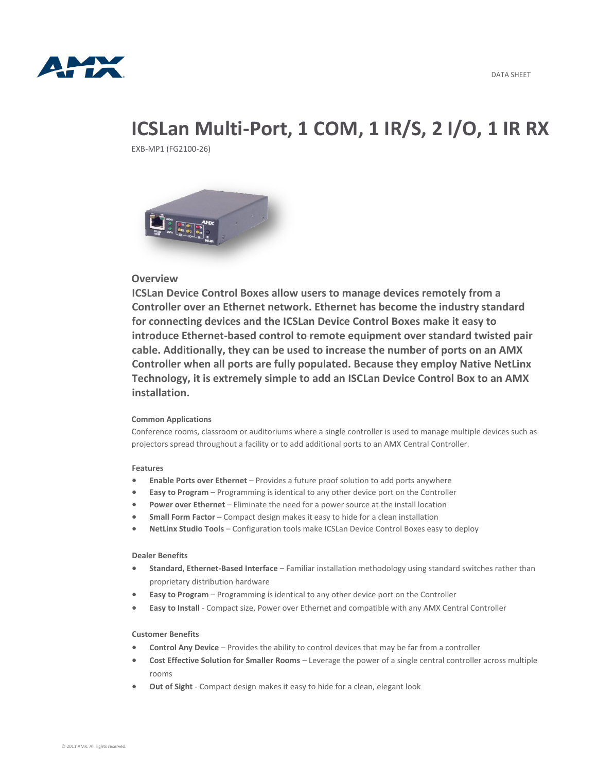

# **ICSLan Multi-Port, 1 COM, 1 IR/S, 2 I/O, 1 IR RX**

EXB-MP1 (FG2100-26)



## **Overview**

**ICSLan Device Control Boxes allow users to manage devices remotely from a Controller over an Ethernet network. Ethernet has become the industry standard for connecting devices and the ICSLan Device Control Boxes make it easy to introduce Ethernet-based control to remote equipment over standard twisted pair cable. Additionally, they can be used to increase the number of ports on an AMX Controller when all ports are fully populated. Because they employ Native NetLinx Technology, it is extremely simple to add an ISCLan Device Control Box to an AMX installation.**

### **Common Applications**

Conference rooms, classroom or auditoriums where a single controller is used to manage multiple devices such as projectors spread throughout a facility or to add additional ports to an AMX Central Controller.

#### **Features**

- **Enable Ports over Ethernet** Provides a future proof solution to add ports anywhere
- **Easy to Program** Programming is identical to any other device port on the Controller
- **Power over Ethernet** Eliminate the need for a power source at the install location
- **Small Form Factor** Compact design makes it easy to hide for a clean installation
- **NetLinx Studio Tools** Configuration tools make ICSLan Device Control Boxes easy to deploy

#### **Dealer Benefits**

- **Standard, Ethernet-Based Interface** Familiar installation methodology using standard switches rather than proprietary distribution hardware
- **Easy to Program** Programming is identical to any other device port on the Controller
- **Easy to Install** Compact size, Power over Ethernet and compatible with any AMX Central Controller

#### **Customer Benefits**

- **Control Any Device** Provides the ability to control devices that may be far from a controller
- **Cost Effective Solution for Smaller Rooms** Leverage the power of a single central controller across multiple rooms
- **Out of Sight** Compact design makes it easy to hide for a clean, elegant look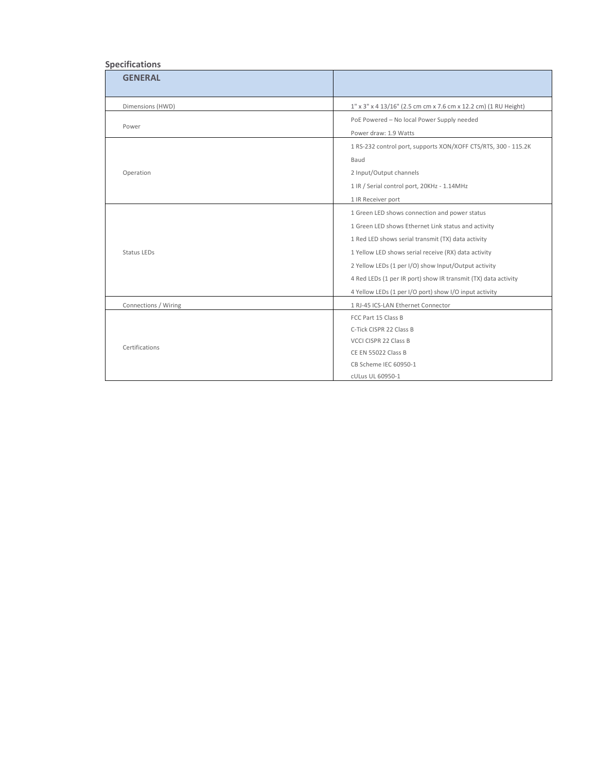## **Specifications**

| <b>GENERAL</b>       |                                                                 |
|----------------------|-----------------------------------------------------------------|
| Dimensions (HWD)     | 1" x 3" x 4 13/16" (2.5 cm cm x 7.6 cm x 12.2 cm) (1 RU Height) |
| Power                | PoE Powered - No local Power Supply needed                      |
|                      | Power draw: 1.9 Watts                                           |
| Operation            | 1 RS-232 control port, supports XON/XOFF CTS/RTS, 300 - 115.2K  |
|                      | Baud                                                            |
|                      | 2 Input/Output channels                                         |
|                      | 1 IR / Serial control port, 20KHz - 1.14MHz                     |
|                      | 1 IR Receiver port                                              |
| Status LEDs          | 1 Green LED shows connection and power status                   |
|                      | 1 Green LED shows Ethernet Link status and activity             |
|                      | 1 Red LED shows serial transmit (TX) data activity              |
|                      | 1 Yellow LED shows serial receive (RX) data activity            |
|                      | 2 Yellow LEDs (1 per I/O) show Input/Output activity            |
|                      | 4 Red LEDs (1 per IR port) show IR transmit (TX) data activity  |
|                      | 4 Yellow LEDs (1 per I/O port) show I/O input activity          |
| Connections / Wiring | 1 RJ-45 ICS-LAN Ethernet Connector                              |
| Certifications       | FCC Part 15 Class B                                             |
|                      | C-Tick CISPR 22 Class B                                         |
|                      | VCCI CISPR 22 Class B                                           |
|                      | CE EN 55022 Class B                                             |
|                      | CB Scheme IEC 60950-1                                           |
|                      | cULus UL 60950-1                                                |